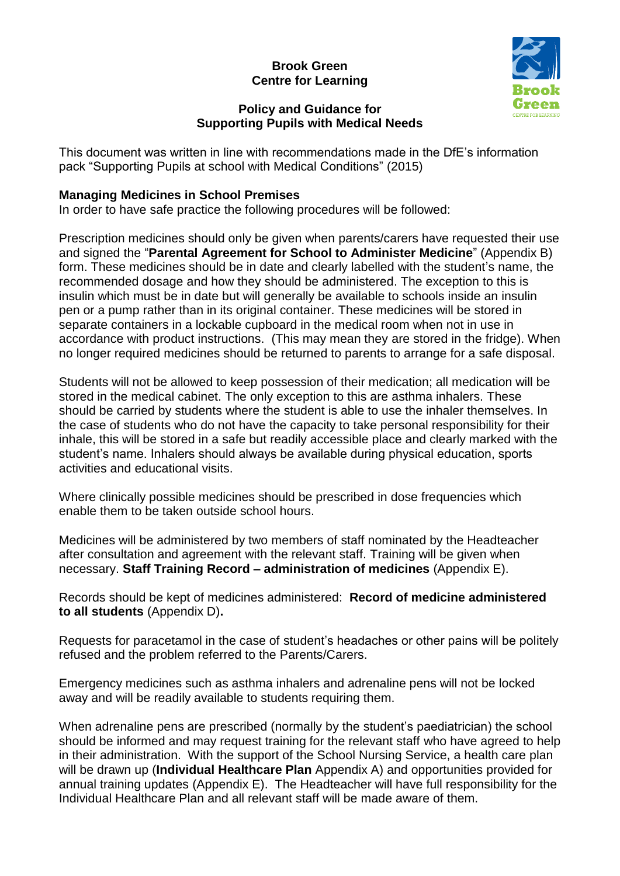## **Brook Green Centre for Learning**



#### **Policy and Guidance for Supporting Pupils with Medical Needs**

This document was written in line with recommendations made in the DfE's information pack "Supporting Pupils at school with Medical Conditions" (2015)

#### **Managing Medicines in School Premises**

In order to have safe practice the following procedures will be followed:

Prescription medicines should only be given when parents/carers have requested their use and signed the "**Parental Agreement for School to Administer Medicine**" (Appendix B) form. These medicines should be in date and clearly labelled with the student's name, the recommended dosage and how they should be administered. The exception to this is insulin which must be in date but will generally be available to schools inside an insulin pen or a pump rather than in its original container. These medicines will be stored in separate containers in a lockable cupboard in the medical room when not in use in accordance with product instructions. (This may mean they are stored in the fridge). When no longer required medicines should be returned to parents to arrange for a safe disposal.

Students will not be allowed to keep possession of their medication; all medication will be stored in the medical cabinet. The only exception to this are asthma inhalers. These should be carried by students where the student is able to use the inhaler themselves. In the case of students who do not have the capacity to take personal responsibility for their inhale, this will be stored in a safe but readily accessible place and clearly marked with the student's name. Inhalers should always be available during physical education, sports activities and educational visits.

Where clinically possible medicines should be prescribed in dose frequencies which enable them to be taken outside school hours.

Medicines will be administered by two members of staff nominated by the Headteacher after consultation and agreement with the relevant staff. Training will be given when necessary. **Staff Training Record – administration of medicines** (Appendix E).

Records should be kept of medicines administered: **Record of medicine administered to all students** (Appendix D)**.**

Requests for paracetamol in the case of student's headaches or other pains will be politely refused and the problem referred to the Parents/Carers.

Emergency medicines such as asthma inhalers and adrenaline pens will not be locked away and will be readily available to students requiring them.

When adrenaline pens are prescribed (normally by the student's paediatrician) the school should be informed and may request training for the relevant staff who have agreed to help in their administration. With the support of the School Nursing Service, a health care plan will be drawn up (**Individual Healthcare Plan** Appendix A) and opportunities provided for annual training updates (Appendix E). The Headteacher will have full responsibility for the Individual Healthcare Plan and all relevant staff will be made aware of them.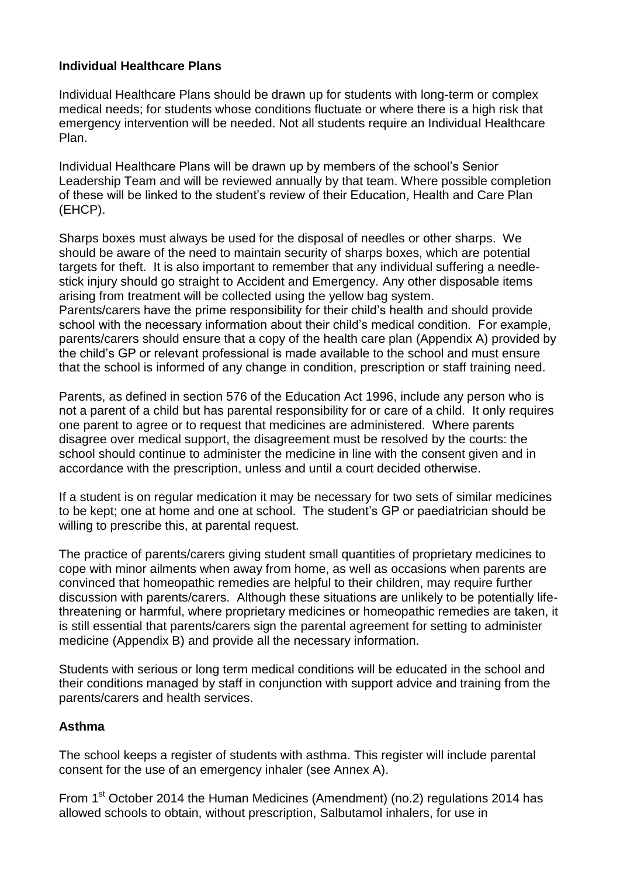#### **Individual Healthcare Plans**

Individual Healthcare Plans should be drawn up for students with long-term or complex medical needs; for students whose conditions fluctuate or where there is a high risk that emergency intervention will be needed. Not all students require an Individual Healthcare Plan.

Individual Healthcare Plans will be drawn up by members of the school's Senior Leadership Team and will be reviewed annually by that team. Where possible completion of these will be linked to the student's review of their Education, Health and Care Plan (EHCP).

Sharps boxes must always be used for the disposal of needles or other sharps. We should be aware of the need to maintain security of sharps boxes, which are potential targets for theft. It is also important to remember that any individual suffering a needlestick injury should go straight to Accident and Emergency. Any other disposable items arising from treatment will be collected using the yellow bag system. Parents/carers have the prime responsibility for their child's health and should provide

school with the necessary information about their child's medical condition. For example, parents/carers should ensure that a copy of the health care plan (Appendix A) provided by the child's GP or relevant professional is made available to the school and must ensure that the school is informed of any change in condition, prescription or staff training need.

Parents, as defined in section 576 of the Education Act 1996, include any person who is not a parent of a child but has parental responsibility for or care of a child. It only requires one parent to agree or to request that medicines are administered. Where parents disagree over medical support, the disagreement must be resolved by the courts: the school should continue to administer the medicine in line with the consent given and in accordance with the prescription, unless and until a court decided otherwise.

If a student is on regular medication it may be necessary for two sets of similar medicines to be kept; one at home and one at school. The student's GP or paediatrician should be willing to prescribe this, at parental request.

The practice of parents/carers giving student small quantities of proprietary medicines to cope with minor ailments when away from home, as well as occasions when parents are convinced that homeopathic remedies are helpful to their children, may require further discussion with parents/carers. Although these situations are unlikely to be potentially lifethreatening or harmful, where proprietary medicines or homeopathic remedies are taken, it is still essential that parents/carers sign the parental agreement for setting to administer medicine (Appendix B) and provide all the necessary information.

Students with serious or long term medical conditions will be educated in the school and their conditions managed by staff in conjunction with support advice and training from the parents/carers and health services.

#### **Asthma**

The school keeps a register of students with asthma. This register will include parental consent for the use of an emergency inhaler (see Annex A).

From  $1<sup>st</sup>$  October 2014 the Human Medicines (Amendment) (no.2) regulations 2014 has allowed schools to obtain, without prescription, Salbutamol inhalers, for use in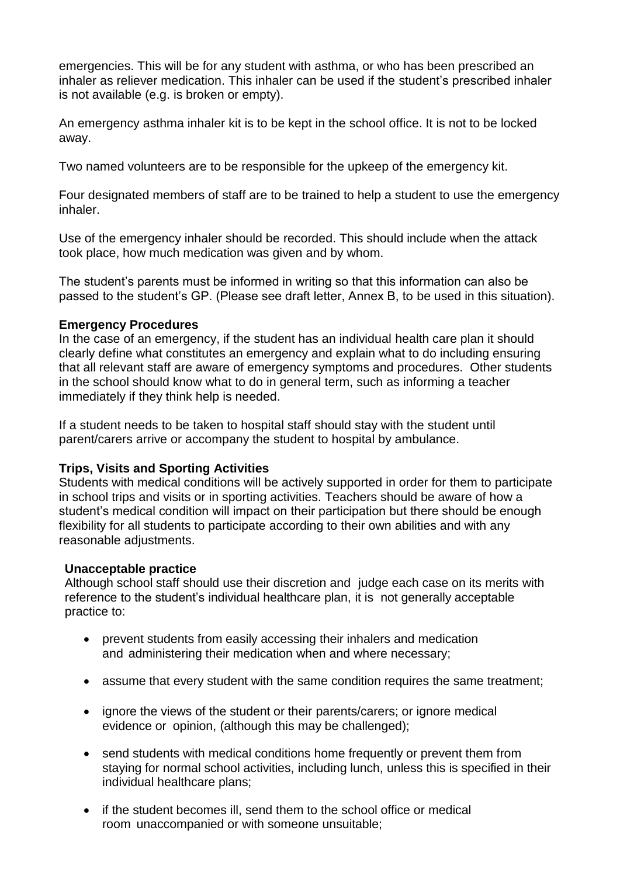emergencies. This will be for any student with asthma, or who has been prescribed an inhaler as reliever medication. This inhaler can be used if the student's prescribed inhaler is not available (e.g. is broken or empty).

An emergency asthma inhaler kit is to be kept in the school office. It is not to be locked away.

Two named volunteers are to be responsible for the upkeep of the emergency kit.

Four designated members of staff are to be trained to help a student to use the emergency inhaler.

Use of the emergency inhaler should be recorded. This should include when the attack took place, how much medication was given and by whom.

The student's parents must be informed in writing so that this information can also be passed to the student's GP. (Please see draft letter, Annex B, to be used in this situation).

#### **Emergency Procedures**

In the case of an emergency, if the student has an individual health care plan it should clearly define what constitutes an emergency and explain what to do including ensuring that all relevant staff are aware of emergency symptoms and procedures. Other students in the school should know what to do in general term, such as informing a teacher immediately if they think help is needed.

If a student needs to be taken to hospital staff should stay with the student until parent/carers arrive or accompany the student to hospital by ambulance.

#### **Trips, Visits and Sporting Activities**

Students with medical conditions will be actively supported in order for them to participate in school trips and visits or in sporting activities. Teachers should be aware of how a student's medical condition will impact on their participation but there should be enough flexibility for all students to participate according to their own abilities and with any reasonable adjustments.

#### **Unacceptable practice**

Although school staff should use their discretion and judge each case on its merits with reference to the student's individual healthcare plan, it is not generally acceptable practice to:

- prevent students from easily accessing their inhalers and medication and administering their medication when and where necessary;
- assume that every student with the same condition requires the same treatment;
- ignore the views of the student or their parents/carers; or ignore medical evidence or opinion, (although this may be challenged);
- send students with medical conditions home frequently or prevent them from staying for normal school activities, including lunch, unless this is specified in their individual healthcare plans;
- if the student becomes ill, send them to the school office or medical room unaccompanied or with someone unsuitable;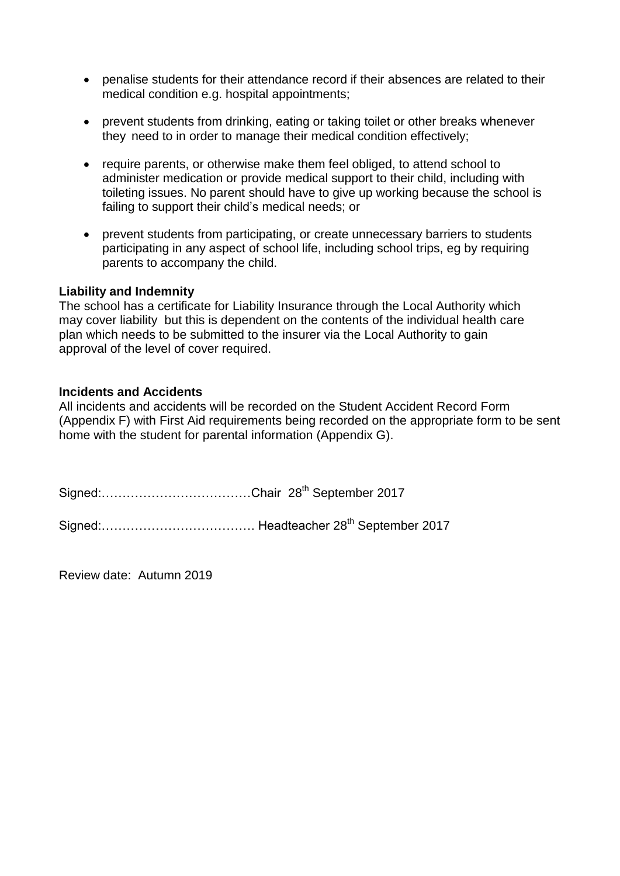- penalise students for their attendance record if their absences are related to their medical condition e.g. hospital appointments;
- prevent students from drinking, eating or taking toilet or other breaks whenever they need to in order to manage their medical condition effectively;
- require parents, or otherwise make them feel obliged, to attend school to administer medication or provide medical support to their child, including with toileting issues. No parent should have to give up working because the school is failing to support their child's medical needs; or
- prevent students from participating, or create unnecessary barriers to students participating in any aspect of school life, including school trips, eg by requiring parents to accompany the child.

#### **Liability and Indemnity**

The school has a certificate for Liability Insurance through the Local Authority which may cover liability but this is dependent on the contents of the individual health care plan which needs to be submitted to the insurer via the Local Authority to gain approval of the level of cover required.

#### **Incidents and Accidents**

All incidents and accidents will be recorded on the Student Accident Record Form (Appendix F) with First Aid requirements being recorded on the appropriate form to be sent home with the student for parental information (Appendix G).

Signed:………………………………Chair 28th September 2017 Signed:………………………………. Headteacher 28th September 2017

Review date: Autumn 2019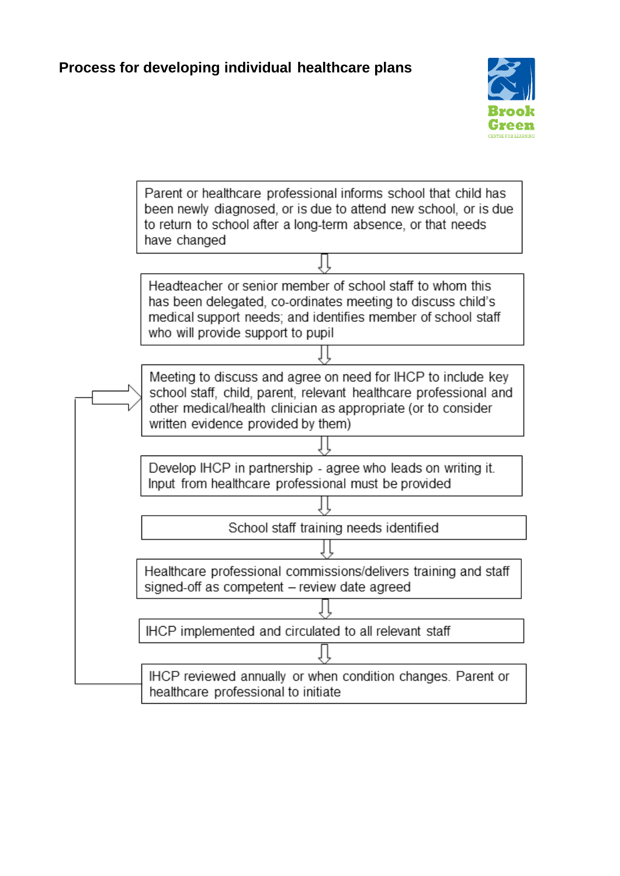

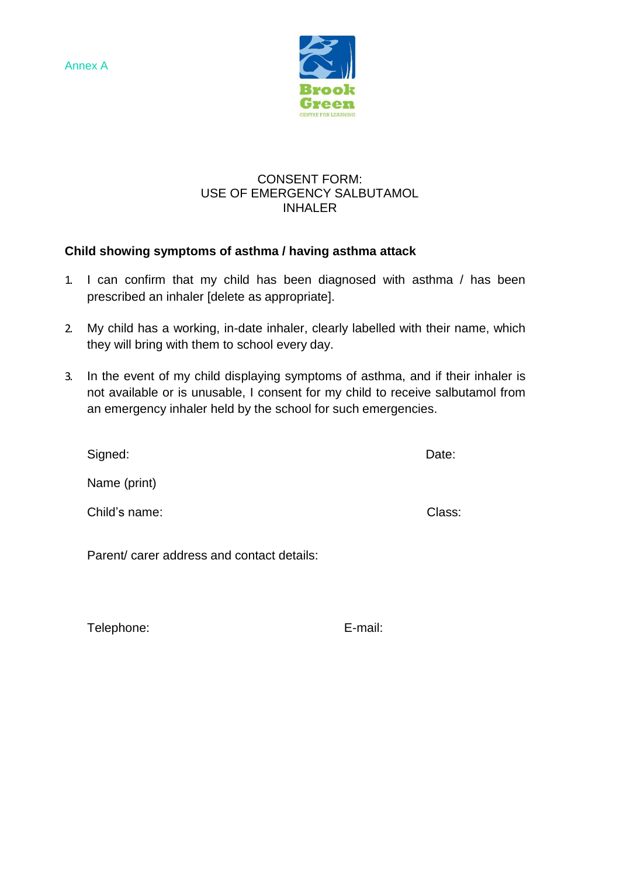Annex A



#### CONSENT FORM: USE OF EMERGENCY SALBUTAMOL INHALER

## **Child showing symptoms of asthma / having asthma attack**

- 1. I can confirm that my child has been diagnosed with asthma / has been prescribed an inhaler [delete as appropriate].
- 2. My child has a working, in-date inhaler, clearly labelled with their name, which they will bring with them to school every day.
- 3. In the event of my child displaying symptoms of asthma, and if their inhaler is not available or is unusable, I consent for my child to receive salbutamol from an emergency inhaler held by the school for such emergencies.

| Signed:       | Date:  |
|---------------|--------|
| Name (print)  |        |
| Child's name: | Class: |
|               |        |

Parent/ carer address and contact details:

Telephone: E-mail: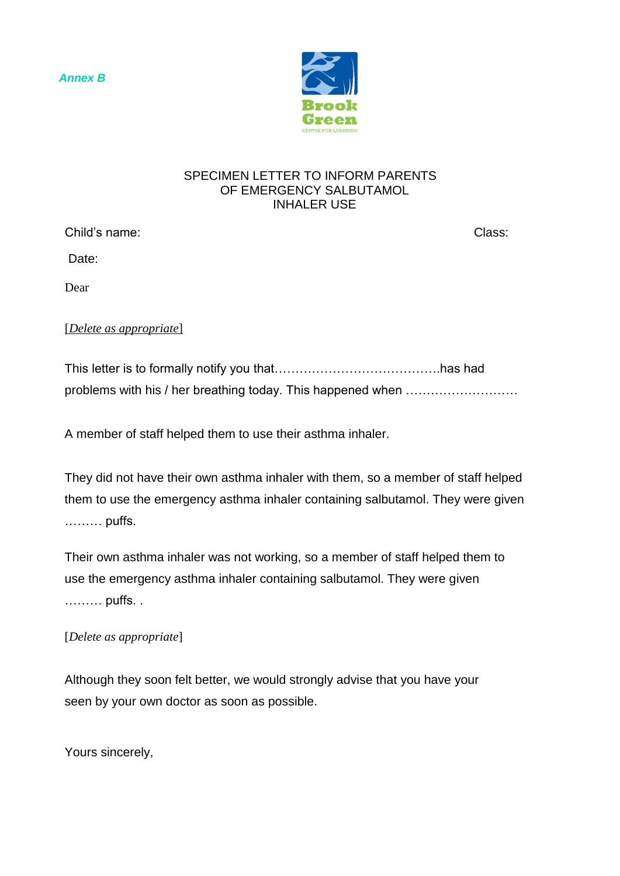*Annex B*



#### SPECIMEN LETTER TO INFORM PARENTS OF EMERGENCY SALBUTAMOL INHALER USE

Child's name: Class:

Date:

Dear

## [*Delete as appropriate*]

This letter is to formally notify you that………………………………….has had problems with his / her breathing today. This happened when ………………………

A member of staff helped them to use their asthma inhaler.

They did not have their own asthma inhaler with them, so a member of staff helped them to use the emergency asthma inhaler containing salbutamol. They were given ……… puffs.

Their own asthma inhaler was not working, so a member of staff helped them to use the emergency asthma inhaler containing salbutamol. They were given ……… puffs. .

## [*Delete as appropriate*]

Although they soon felt better, we would strongly advise that you have your seen by your own doctor as soon as possible.

Yours sincerely,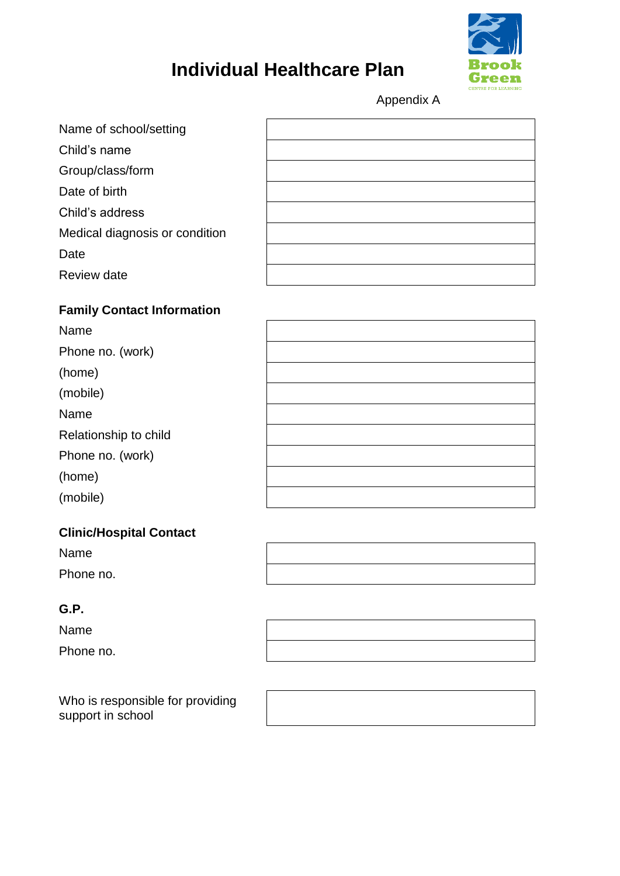

# **Individual Healthcare Plan**

Appendix A

| Name of school/setting         |  |
|--------------------------------|--|
| Child's name                   |  |
| Group/class/form               |  |
| Date of birth                  |  |
| Child's address                |  |
| Medical diagnosis or condition |  |
| Date                           |  |
| Review date                    |  |
|                                |  |

## **Family Contact Information**

Name

Phone no. (work)

(home)

(mobile)

Name

Relationship to child

Phone no. (work)

(home)

(mobile)

### **Clinic/Hospital Contact**

Name

Phone no.

## **G.P.**

Name Phone no.

Who is responsible for providing support in school

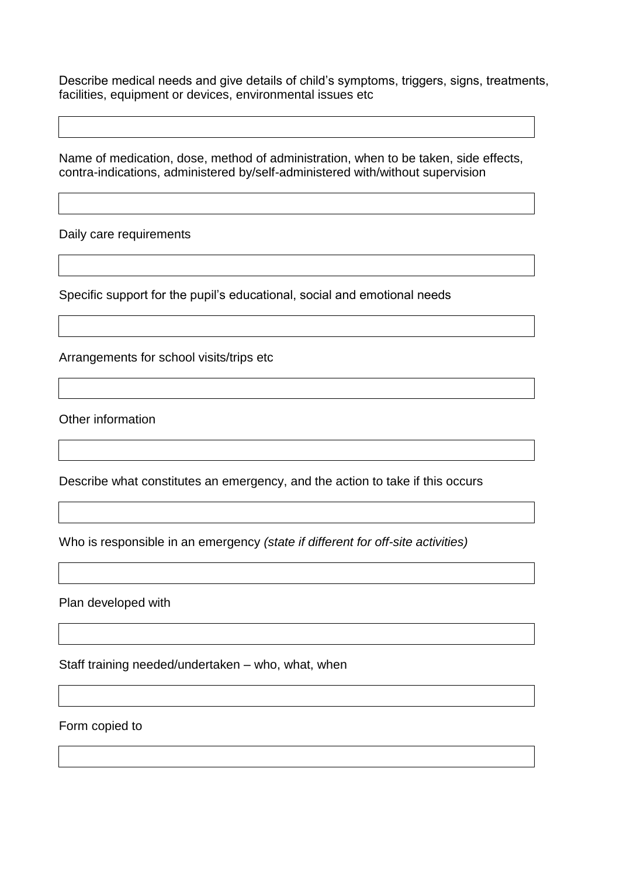Describe medical needs and give details of child's symptoms, triggers, signs, treatments, facilities, equipment or devices, environmental issues etc

Name of medication, dose, method of administration, when to be taken, side effects, contra-indications, administered by/self-administered with/without supervision

Daily care requirements

Specific support for the pupil's educational, social and emotional needs

Arrangements for school visits/trips etc

Other information

Describe what constitutes an emergency, and the action to take if this occurs

Who is responsible in an emergency *(state if different for off-site activities)*

Plan developed with

Staff training needed/undertaken – who, what, when

Form copied to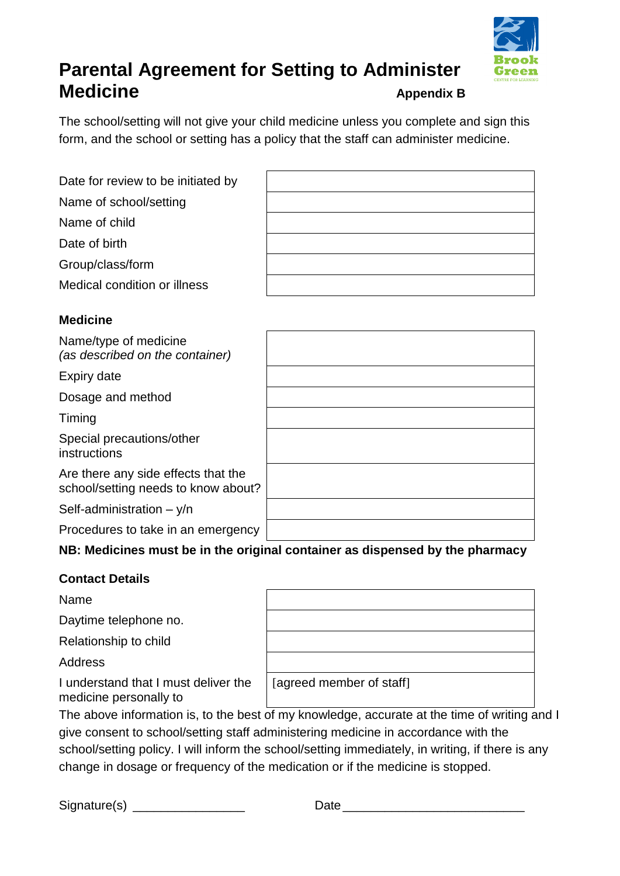

## **Parental Agreement for Setting to Administer Medicine Appendix B**

The school/setting will not give your child medicine unless you complete and sign this form, and the school or setting has a policy that the staff can administer medicine.

| Date for review to be initiated by |  |
|------------------------------------|--|
| Name of school/setting             |  |
| Name of child                      |  |
| Date of birth                      |  |
| Group/class/form                   |  |
| Medical condition or illness       |  |

## **Medicine**

| Name/type of medicine<br>(as described on the container)                   |  |
|----------------------------------------------------------------------------|--|
| Expiry date                                                                |  |
| Dosage and method                                                          |  |
| Timing                                                                     |  |
| Special precautions/other<br>instructions                                  |  |
| Are there any side effects that the<br>school/setting needs to know about? |  |
| Self-administration $- y/n$                                                |  |
| Procedures to take in an emergency                                         |  |

## **NB: Medicines must be in the original container as dispensed by the pharmacy**

## **Contact Details**

Name

Daytime telephone no.

Relationship to child

Address

I understand that I must deliver the medicine personally to

[agreed member of staff]

The above information is, to the best of my knowledge, accurate at the time of writing and I give consent to school/setting staff administering medicine in accordance with the school/setting policy. I will inform the school/setting immediately, in writing, if there is any change in dosage or frequency of the medication or if the medicine is stopped.

Signature(s) \_\_\_\_\_\_\_\_\_\_\_\_\_\_\_\_ Date \_\_\_\_\_\_\_\_\_\_\_\_\_\_\_\_\_\_\_\_\_\_\_\_\_\_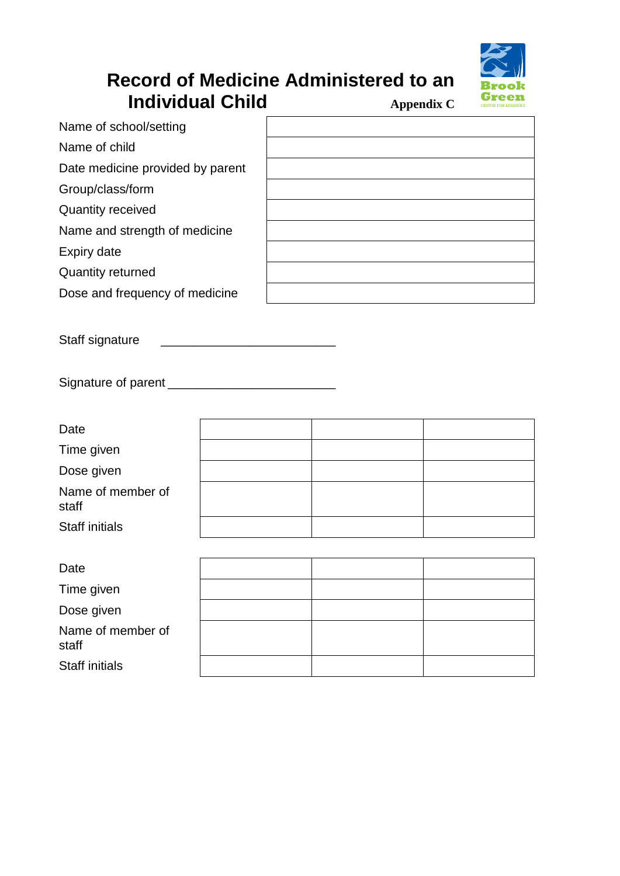

## **Record of Medicine Administered to an Individual Child Appendix C**

Name of child

Date medicine provided by parent

Group/class/form

Quantity received

Name and strength of medicine

Expiry date

Quantity returned

Dose and frequency of medicine

Staff signature

Signature of parent \_\_\_\_\_\_\_\_\_\_\_\_\_\_\_\_\_\_\_\_\_\_\_\_

| Date                       |  |  |
|----------------------------|--|--|
| Time given                 |  |  |
| Dose given                 |  |  |
| Name of member of<br>staff |  |  |
| <b>Staff initials</b>      |  |  |
|                            |  |  |

| Date                       |  |  |
|----------------------------|--|--|
| Time given                 |  |  |
| Dose given                 |  |  |
| Name of member of<br>staff |  |  |
| <b>Staff initials</b>      |  |  |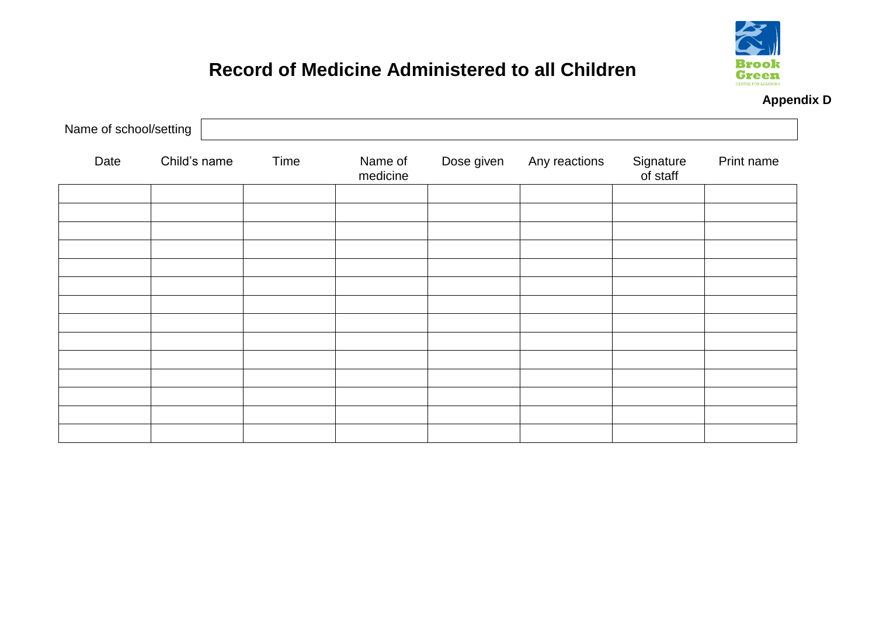

**Appendix D**

# **Record of Medicine Administered to all Children**

| Name of school/setting |              |      |                     |            |               |                       |            |
|------------------------|--------------|------|---------------------|------------|---------------|-----------------------|------------|
| Date                   | Child's name | Time | Name of<br>medicine | Dose given | Any reactions | Signature<br>of staff | Print name |
|                        |              |      |                     |            |               |                       |            |
|                        |              |      |                     |            |               |                       |            |
|                        |              |      |                     |            |               |                       |            |
|                        |              |      |                     |            |               |                       |            |
|                        |              |      |                     |            |               |                       |            |
|                        |              |      |                     |            |               |                       |            |
|                        |              |      |                     |            |               |                       |            |
|                        |              |      |                     |            |               |                       |            |
|                        |              |      |                     |            |               |                       |            |
|                        |              |      |                     |            |               |                       |            |
|                        |              |      |                     |            |               |                       |            |
|                        |              |      |                     |            |               |                       |            |
|                        |              |      |                     |            |               |                       |            |
|                        |              |      |                     |            |               |                       |            |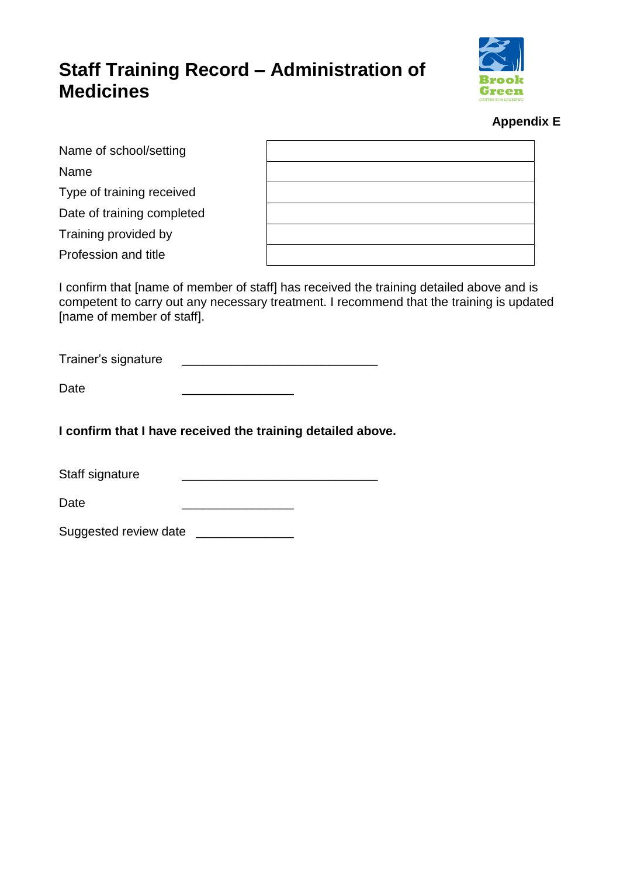## **Staff Training Record – Administration of Medicines**



### **Appendix E**

| Name of school/setting     |  |
|----------------------------|--|
| Name                       |  |
| Type of training received  |  |
| Date of training completed |  |
| Training provided by       |  |
| Profession and title       |  |

I confirm that [name of member of staff] has received the training detailed above and is competent to carry out any necessary treatment. I recommend that the training is updated [name of member of staff].

Trainer's signature **Executive** 

Date \_\_\_\_\_\_\_\_\_\_\_\_\_\_\_\_

**I confirm that I have received the training detailed above.**

Staff signature

| Dota<br>υαισ |  |
|--------------|--|
|              |  |

Suggested review date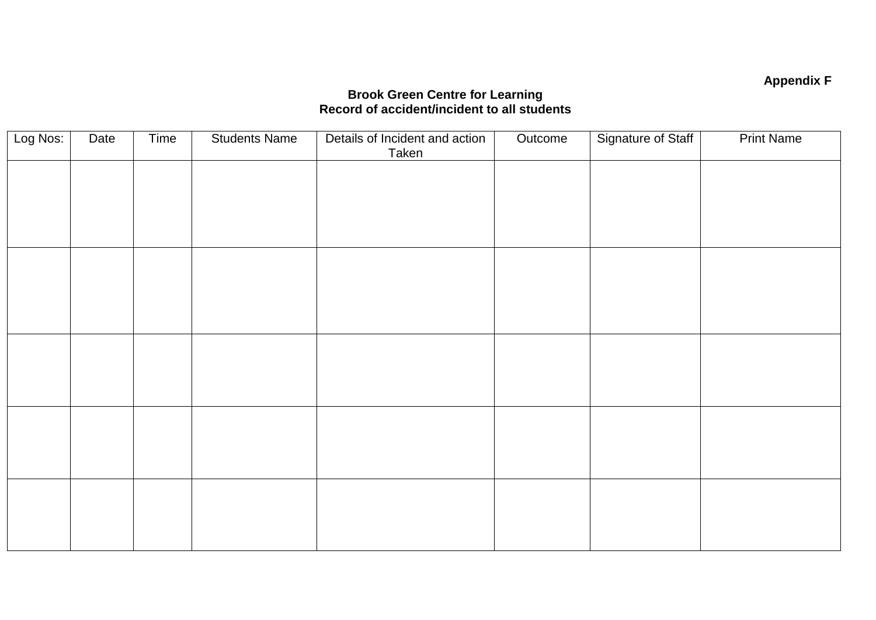## **Appendix F**

#### **Brook Green Centre for Learning Record of accident/incident to all students**

| Log Nos: | Date | Time | <b>Students Name</b> | Details of Incident and action<br>Taken | Outcome | Signature of Staff | <b>Print Name</b> |
|----------|------|------|----------------------|-----------------------------------------|---------|--------------------|-------------------|
|          |      |      |                      |                                         |         |                    |                   |
|          |      |      |                      |                                         |         |                    |                   |
|          |      |      |                      |                                         |         |                    |                   |
|          |      |      |                      |                                         |         |                    |                   |
|          |      |      |                      |                                         |         |                    |                   |
|          |      |      |                      |                                         |         |                    |                   |
|          |      |      |                      |                                         |         |                    |                   |
|          |      |      |                      |                                         |         |                    |                   |
|          |      |      |                      |                                         |         |                    |                   |
|          |      |      |                      |                                         |         |                    |                   |
|          |      |      |                      |                                         |         |                    |                   |
|          |      |      |                      |                                         |         |                    |                   |
|          |      |      |                      |                                         |         |                    |                   |
|          |      |      |                      |                                         |         |                    |                   |
|          |      |      |                      |                                         |         |                    |                   |
|          |      |      |                      |                                         |         |                    |                   |
|          |      |      |                      |                                         |         |                    |                   |